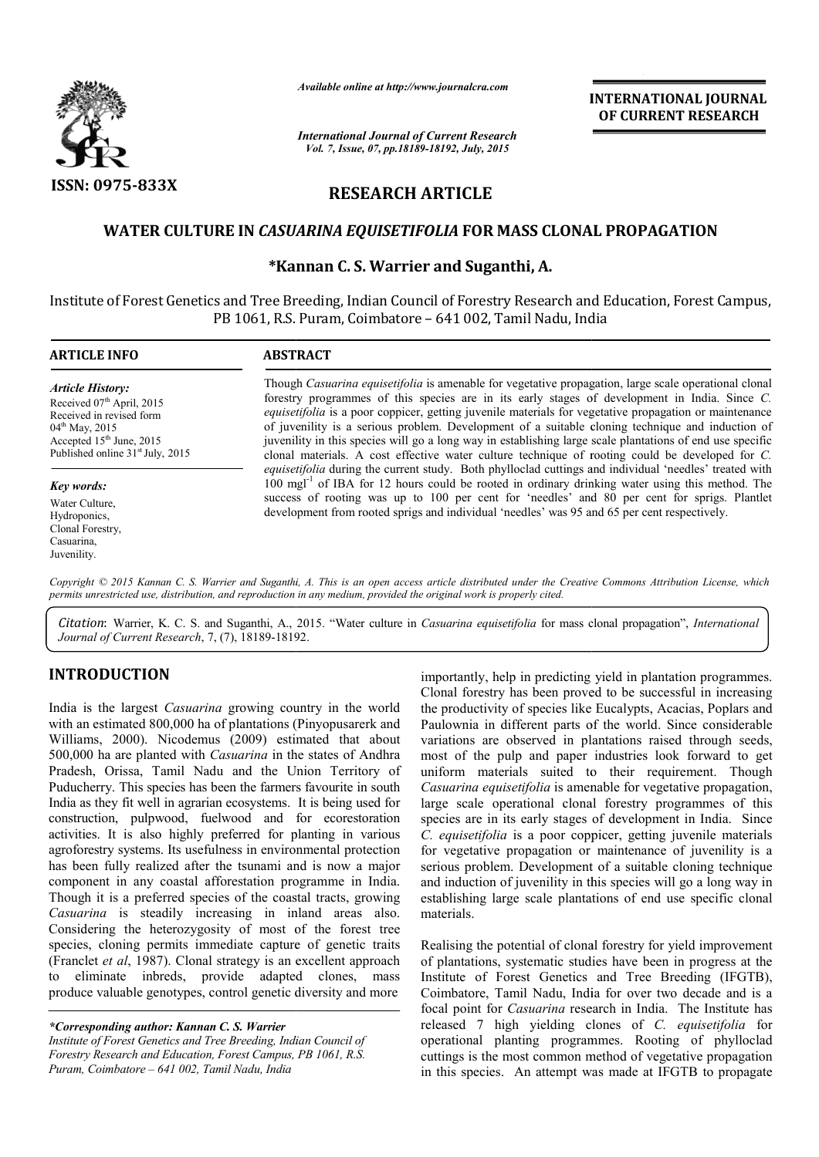

*Available online at http://www.journalcra.com*

*International Journal of Current Research Vol. 7, Issue, 07, pp.18189-18192, July, 2015*

INTERNATIONAL INTERNATIONAL JOURNAL OF CURRENT RESEARCH

# RESEARCH ARTICLE

### WATER CULTURE IN *CASUARINA EQUISETIFOLIA* FOR MASS CLONAL PROPAGATION

# \*Kannan C. Kannan S. Warrier and Suganthi, A.

Institute of Forest Genetics and Tree Breeding, Indian Council of Forestry Research and Education, Forest Campus, PB 1061, R.S. Puram, Coimbatore – 641 002, Tamil Nadu, India

#### ARTICLE INFO ABSTRACT Though *Casuarina equisetifolia* is amenable for vegetative propagation, large scale operational clonal Though *Casuarina equisetifolia* is amenable for vegetative propagation, large scale operational clonal forestry programmes of this species are in its early stages of development in India. Since *C*. equisetifolia is a poor coppicer, getting juvenile materials for vegetative propagation or maintenance of juvenility is a serious problem. Development of a suitable cloning technique and induction of juvenility in this species will go a long way in establishing large scale plantations of end use specific clonal materials. A cost effective water culture technique of rooting could be developed for equisetifolia during the current study. Both phylloclad cuttings and individual 'needles' treated with 100 mgl<sup>-1</sup> of IBA for 12 hours could be rooted in ordinary drinking water using this method. The success of rooting was up to 100 per cent for 'needles' and 80 per cent for sprigs. Plantlet *equisetifolia* during the current study. Both phylloclad cuttings and individual 'needles' tree 100 mgl<sup>-1</sup> of IBA for 12 hours could be rooted in ordinary drinking water using this met success of rooting was up to 100 pe *Article History:* Received 07<sup>th</sup> April, 2015 Received in revised form 04<sup>th</sup> May, 2015 Accepted 15<sup>th</sup> June, 2015 Published online 31<sup>st</sup> July, 2015 *Key words:* Water Culture, Hydroponics, Clonal Forestry, Casuarina, juvenility is a serious problem. Development of a suitable cloning technique and induction of enility in this species will go a long way in establishing large scale plantations of end use specific nal materials. A cost eff

Copyright © 2015 Kannan C. S. Warrier and Suganthi, A. This is an open access article distributed under the Creative Commons Attribution License, which *permits unrestricted use, distribution, and reproduction in any medium, provided the original work is properly cited.*

Citation: Warrier, K. C. S. and Suganthi, A., 2015. "Water culture in *Casuarina equisetifolia* for mass clonal propagation", *International Journal of Current Research*, 7, (7), 18189-18192 18192.

### INTRODUCTION

Juvenility.

India is the largest *Casuarina* growing country in the world with an estimated 800,000 ha of plantations (Pinyopusarerk and Williams, 2000). Nicodemus (2009) estimated that about 500,000 ha are planted with *Casuarina* in the states of Andhra Pradesh, Orissa, Tamil Nadu and the Union Territory of Puducherry. This species has been the farmers favourite in south India as they fit well in agrarian ecosystems. It is being used for construction, pulpwood, fuelwood and for ecorestoration activities. It is also highly preferred for planting in various agroforestry systems. Its usefulness in environmental protection has been fully realized after the tsunami and is now a major component in any coastal afforestation programme in India. Though it is a preferred species of the coastal tracts, growing *Casuarina* is steadily increasing in inland areas also. Considering the heterozygosity of most of the forest tree species, cloning permits immediate capture of genetic traits (Franclet *et al*, 1987). Clonal strategy is an excellent approach to eliminate inbreds, provide adapted clones, mass produce valuable genotypes, control genetic diversity and more

*\*Corresponding author: Kannan C. S. Warrier* 

*Institute of Forest Genetics and Tree Breeding, Indian Council of Forestry Research and Education, Forest Campus, PB 1061, R.S. Puram, Coimbatore – 641 002, Tamil Nadu, India*

**Examining** country in the world complete the protecting yield in plantation programmes<br>
Casuarina growing country in the world completently has been proved to be successful in increasing<br>
icoodom and file productivity of Clonal forestry has been proved to be successful in increasing the productivity of species like Eucalypts, Acacias, Poplars and Paulownia in different parts of the world. Since considerable variations are observed in plantations raised through seeds, most of the pulp and paper industries look forward to get uniform materials suited to their requirement. Though *Casuarina equisetifolia* is amenable for vegetative propagation, large scale operational clonal forestry programmes of this species are in its early stages of development in India. Since *C. equisetifolia* is a poor coppicer, getting juvenile materials for vegetative propagation or maintenance of juvenility is a serious problem. Development of a suitable cloning technique and induction of juvenility in this species will go a long way in establishing large scale plantations of end use specific clonal materials. importantly, help in predicting yield in plantation programmes. Clonal forestry has been proved to be successful in increasing<br>the productivity of species like Eucalypts, Acacias, Poplars and<br>Paulownia in different parts of the world. Since considerable<br>svariations are observed in plan **INTERNATIONAL JOURNAL CONSUMERAT CONSUMERAT RESEARCH CONSUMERAT RESEARCH (uly, 2015)<br>
CDEURERENT RESEARCH (uly, 2015)<br>
CDEURERENT RESEARCH (uly, 2015)<br>
CDEURENT RESEARCH (uly, 2015)<br>
CDEURENT RESEARCH (ULS (ULS CONSUMERE** 

Realising the potential of clonal forestry for yield improvement of plantations, systematic studies have been in progress at the Institute of Forest Genetics and Tree Breeding (IFGTB), Coimbatore, Tamil Nadu, India for over two decade and is a focal point for *Casuarina* research in India. The Institute has released 7 high yielding clones of *C. equisetifolia* for operational planting programmes. R Rooting of phylloclad cuttings is the most common method of vegetative propagation in this species. An attempt was made at IFGTB to propagate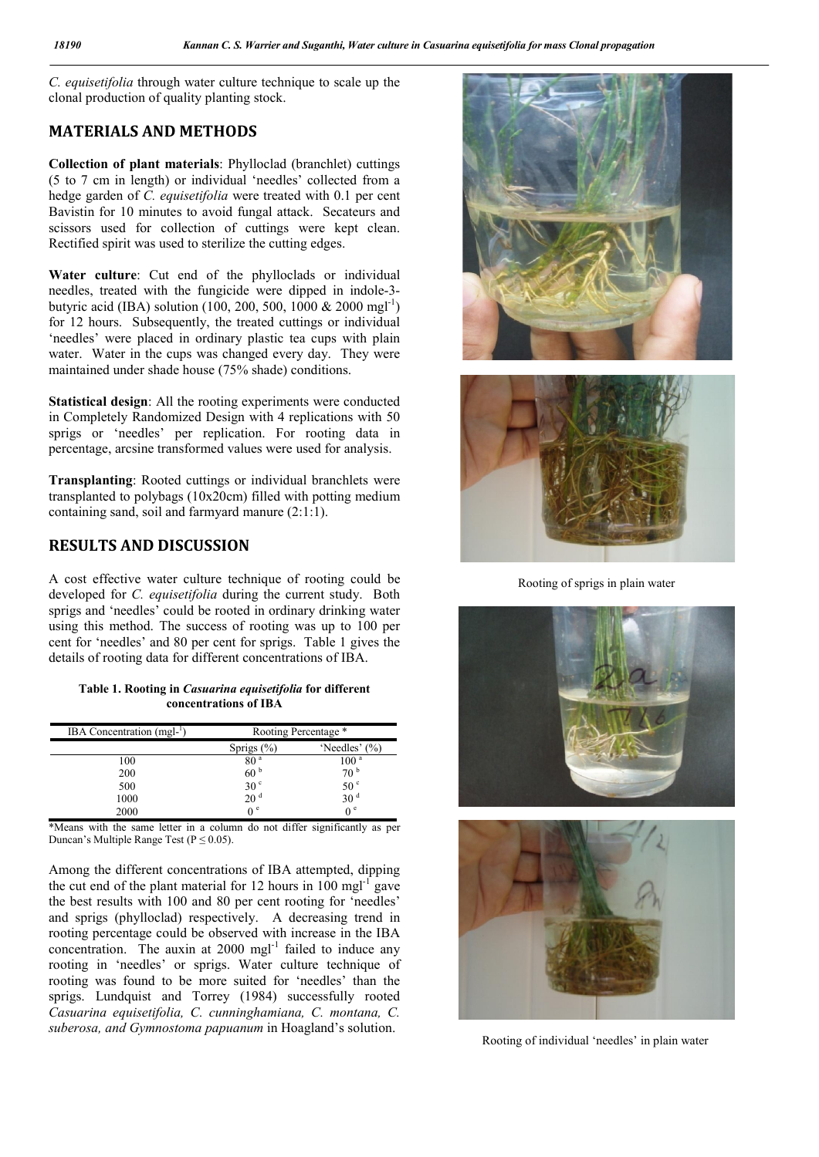*C. equisetifolia* through water culture technique to scale up the clonal production of quality planting stock.

#### MATERIALS AND METHODS

Collection of plant materials: Phylloclad (branchlet) cuttings (5 to 7 cm in length) or individual 'needles' collected from a hedge garden of *C. equisetifolia* were treated with 0.1 per cent Bavistin for 10 minutes to avoid fungal attack. Secateurs and scissors used for collection of cuttings were kept clean. Rectified spirit was used to sterilize the cutting edges.

Water culture: Cut end of the phylloclads or individual needles, treated with the fungicide were dipped in indole-3 butyric acid (IBA) solution (100, 200, 500, 1000 & 2000 mgl<sup>-1</sup>) for 12 hours. Subsequently, the treated cuttings or individual 'needles' were placed in ordinary plastic tea cups with plain water. Water in the cups was changed every day. They were maintained under shade house (75% shade) conditions.

Statistical design: All the rooting experiments were conducted in Completely Randomized Design with 4 replications with 50 sprigs or 'needles' per replication. For rooting data in percentage, arcsine transformed values were used for analysis.

Transplanting: Rooted cuttings or individual branchlets were transplanted to polybags (10x20cm) filled with potting medium containing sand, soil and farmyard manure (2:1:1).

# RESULTS AND DISCUSSION

A cost effective water culture technique of rooting could be developed for *C. equisetifolia* during the current study. Both sprigs and 'needles' could be rooted in ordinary drinking water using this method. The success of rooting was up to 100 per cent for 'needles' and 80 per cent for sprigs. Table 1 gives the details of rooting data for different concentrations of IBA.

Table 1. Rooting in *Casuarina equisetifolia* for different concentrations of IBA

| IBA Concentration $(mgl-1)$ | Rooting Percentage *  |                   |
|-----------------------------|-----------------------|-------------------|
|                             | Sprigs $(\% )$        | 'Needles' $(\% )$ |
| 100                         | 80 <sup>a</sup>       | 100 <sup>a</sup>  |
| 200                         | 60 <sup>b</sup>       | 70 <sup>b</sup>   |
| 500                         | 30 <sup>c</sup>       | 50 <sup>c</sup>   |
| 1000                        | 20 <sup>d</sup>       | 30 <sup>d</sup>   |
| 2000                        | $\theta$ <sup>e</sup> | 0 <sup>e</sup>    |

\*Means with the same letter in a column do not differ significantly as per Duncan's Multiple Range Test ( $P \le 0.05$ ).

Among the different concentrations of IBA attempted, dipping the cut end of the plant material for 12 hours in  $100 \text{ mg}$ <sup>-1</sup> gave the best results with 100 and 80 per cent rooting for 'needles' and sprigs (phylloclad) respectively. A decreasing trend in rooting percentage could be observed with increase in the IBA concentration. The auxin at  $2000$  mgl<sup>-1</sup> failed to induce any rooting in 'needles' or sprigs. Water culture technique of rooting was found to be more suited for 'needles' than the sprigs. Lundquist and Torrey (1984) successfully rooted *Casuarina equisetifolia, C. cunninghamiana, C. montana, C. suberosa, and Gymnostoma papuanum* in Hoagland's solution.





Rooting of sprigs in plain water





Rooting of individual 'needles' in plain water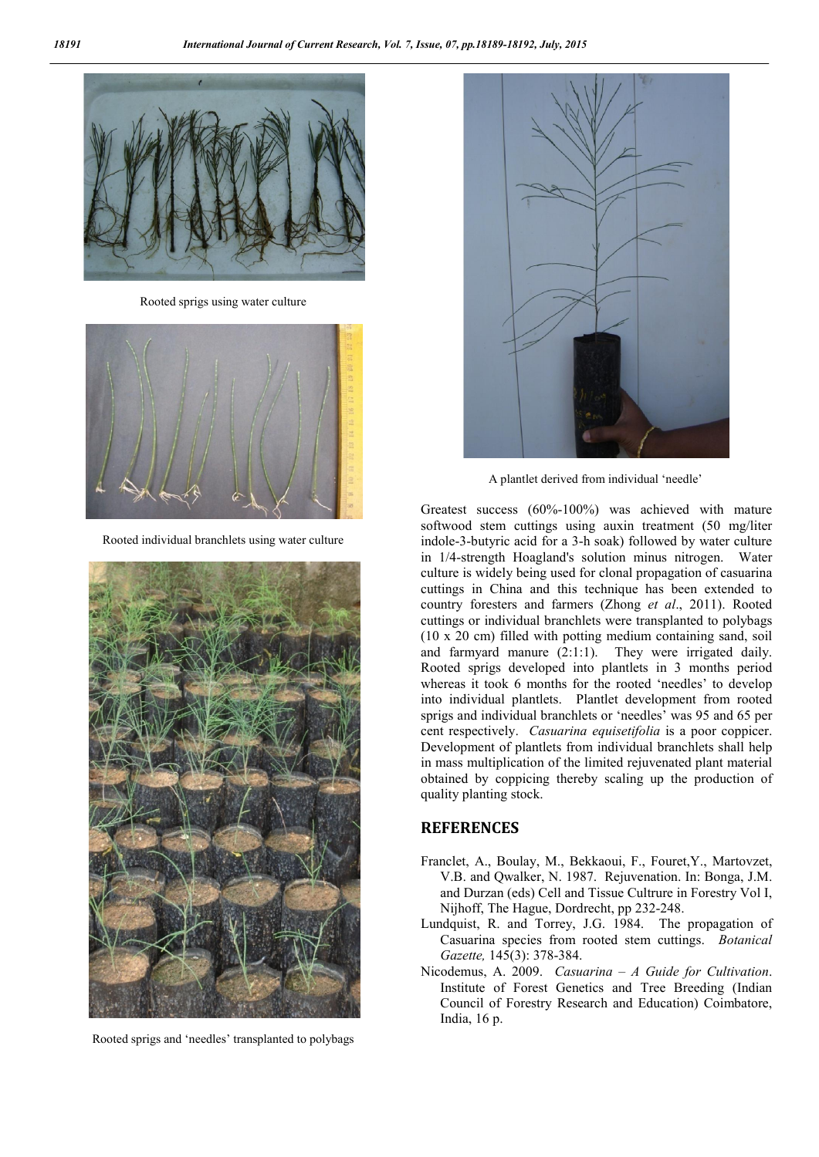

Rooted sprigs using water culture



Rooted individual branchlets using water culture



Rooted sprigs and 'needles' transplanted to polybags



A plantlet derived from individual 'needle'

Greatest success (60%-100%) was achieved with mature softwood stem cuttings using auxin treatment (50 mg/liter indole-3-butyric acid for a 3-h soak) followed by water culture in 1/4-strength Hoagland's solution minus nitrogen. Water culture is widely being used for clonal propagation of casuarina cuttings in China and this technique has been extended to country foresters and farmers (Zhong *et al*., 2011). Rooted cuttings or individual branchlets were transplanted to polybags (10 x 20 cm) filled with potting medium containing sand, soil and farmyard manure (2:1:1). They were irrigated daily. Rooted sprigs developed into plantlets in 3 months period whereas it took 6 months for the rooted 'needles' to develop into individual plantlets. Plantlet development from rooted sprigs and individual branchlets or 'needles' was 95 and 65 per cent respectively. *Casuarina equisetifolia* is a poor coppicer. Development of plantlets from individual branchlets shall help in mass multiplication of the limited rejuvenated plant material obtained by coppicing thereby scaling up the production of quality planting stock.

#### **REFERENCES**

- Franclet, A., Boulay, M., Bekkaoui, F., Fouret,Y., Martovzet, V.B. and Qwalker, N. 1987. Rejuvenation. In: Bonga, J.M. and Durzan (eds) Cell and Tissue Cultrure in Forestry Vol I, Nijhoff, The Hague, Dordrecht, pp 232-248.
- Lundquist, R. and Torrey, J.G. 1984. The propagation of Casuarina species from rooted stem cuttings. *Botanical Gazette,* 145(3): 378-384.
- Nicodemus, A. 2009. *Casuarina – A Guide for Cultivation*. Institute of Forest Genetics and Tree Breeding (Indian Council of Forestry Research and Education) Coimbatore, India, 16 p.